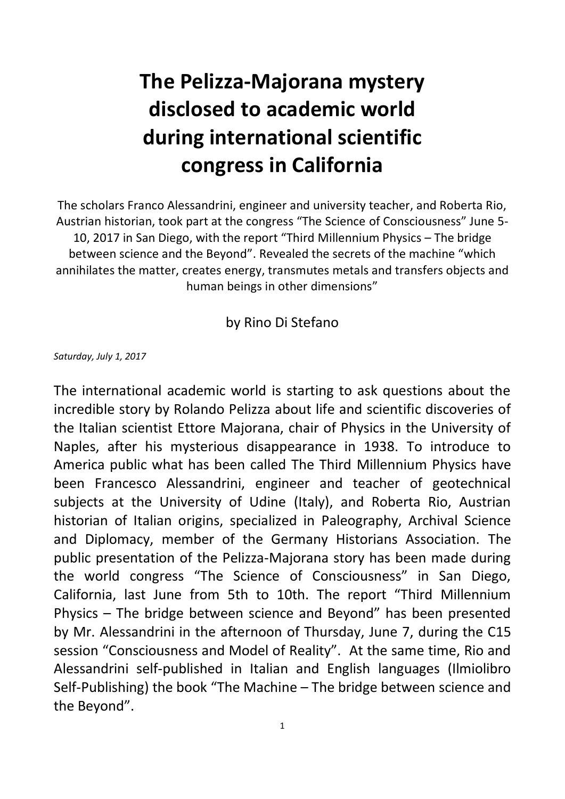## **The Pelizza-Majorana mystery disclosed to academic world during international scientific congress in California**

The scholars Franco Alessandrini, engineer and university teacher, and Roberta Rio, Austrian historian, took part at the congress "The Science of Consciousness" June 5- 10, 2017 in San Diego, with the report "Third Millennium Physics – The bridge between science and the Beyond". Revealed the secrets of the machine "which annihilates the matter, creates energy, transmutes metals and transfers objects and human beings in other dimensions"

by Rino Di Stefano

*Saturday, July 1, 2017*

The international academic world is starting to ask questions about the incredible story by Rolando Pelizza about life and scientific discoveries of the Italian scientist Ettore Majorana, chair of Physics in the University of Naples, after his mysterious disappearance in 1938. To introduce to America public what has been called The Third Millennium Physics have been Francesco Alessandrini, engineer and teacher of geotechnical subjects at the University of Udine (Italy), and Roberta Rio, Austrian historian of Italian origins, specialized in Paleography, Archival Science and Diplomacy, member of the Germany Historians Association. The public presentation of the Pelizza-Majorana story has been made during the world congress "The Science of Consciousness" in San Diego, California, last June from 5th to 10th. The report "Third Millennium Physics – The bridge between science and Beyond" has been presented by Mr. Alessandrini in the afternoon of Thursday, June 7, during the C15 session "Consciousness and Model of Reality". At the same time, Rio and Alessandrini self-published in Italian and English languages (Ilmiolibro Self-Publishing) the book "The Machine – The bridge between science and the Beyond".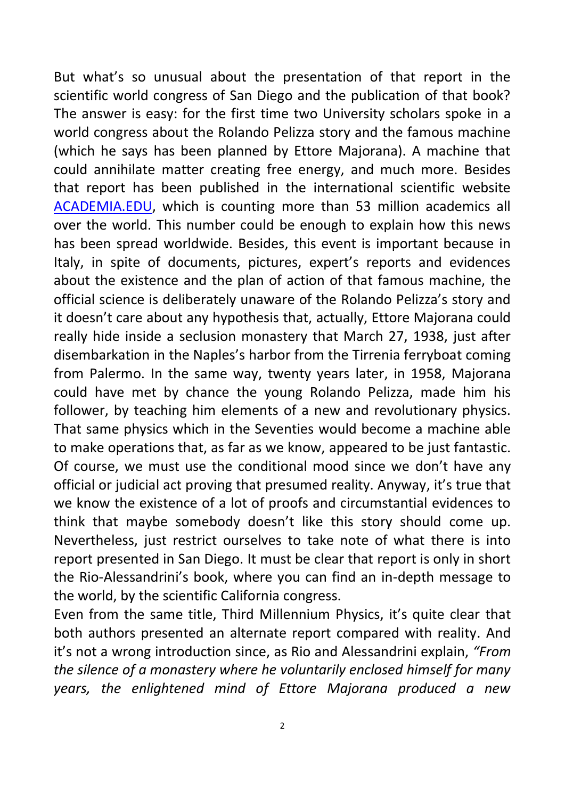But what's so unusual about the presentation of that report in the scientific world congress of San Diego and the publication of that book? The answer is easy: for the first time two University scholars spoke in a world congress about the Rolando Pelizza story and the famous machine (which he says has been planned by Ettore Majorana). A machine that could annihilate matter creating free energy, and much more. Besides that report has been published in the international scientific website [ACADEMIA.EDU,](https://www.academia.edu/) which is counting more than 53 million academics all over the world. This number could be enough to explain how this news has been spread worldwide. Besides, this event is important because in Italy, in spite of documents, pictures, expert's reports and evidences about the existence and the plan of action of that famous machine, the official science is deliberately unaware of the Rolando Pelizza's story and it doesn't care about any hypothesis that, actually, Ettore Majorana could really hide inside a seclusion monastery that March 27, 1938, just after disembarkation in the Naples's harbor from the Tirrenia ferryboat coming from Palermo. In the same way, twenty years later, in 1958, Majorana could have met by chance the young Rolando Pelizza, made him his follower, by teaching him elements of a new and revolutionary physics. That same physics which in the Seventies would become a machine able to make operations that, as far as we know, appeared to be just fantastic. Of course, we must use the conditional mood since we don't have any official or judicial act proving that presumed reality. Anyway, it's true that we know the existence of a lot of proofs and circumstantial evidences to think that maybe somebody doesn't like this story should come up. Nevertheless, just restrict ourselves to take note of what there is into report presented in San Diego. It must be clear that report is only in short the Rio-Alessandrini's book, where you can find an in-depth message to the world, by the scientific California congress.

Even from the same title, Third Millennium Physics, it's quite clear that both authors presented an alternate report compared with reality. And it's not a wrong introduction since, as Rio and Alessandrini explain, *"From the silence of a monastery where he voluntarily enclosed himself for many years, the enlightened mind of Ettore Majorana produced a new*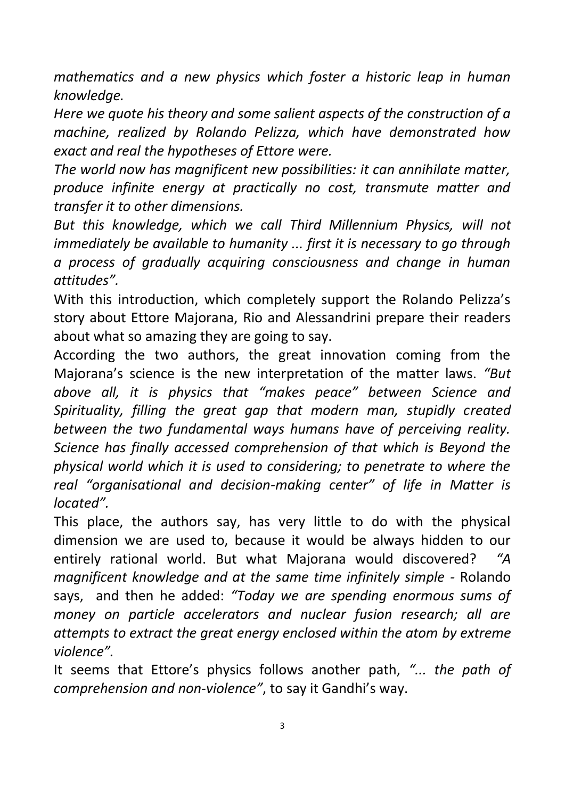*mathematics and a new physics which foster a historic leap in human knowledge.* 

*Here we quote his theory and some salient aspects of the construction of a machine, realized by Rolando Pelizza, which have demonstrated how exact and real the hypotheses of Ettore were.* 

*The world now has magnificent new possibilities: it can annihilate matter, produce infinite energy at practically no cost, transmute matter and transfer it to other dimensions.* 

*But this knowledge, which we call Third Millennium Physics, will not immediately be available to humanity ... first it is necessary to go through a process of gradually acquiring consciousness and change in human attitudes".*

With this introduction, which completely support the Rolando Pelizza's story about Ettore Majorana, Rio and Alessandrini prepare their readers about what so amazing they are going to say.

According the two authors, the great innovation coming from the Majorana's science is the new interpretation of the matter laws. *"But above all, it is physics that "makes peace" between Science and Spirituality, filling the great gap that modern man, stupidly created between the two fundamental ways humans have of perceiving reality. Science has finally accessed comprehension of that which is Beyond the physical world which it is used to considering; to penetrate to where the real "organisational and decision-making center" of life in Matter is located".*

This place, the authors say, has very little to do with the physical dimension we are used to, because it would be always hidden to our entirely rational world. But what Majorana would discovered? *"A magnificent knowledge and at the same time infinitely simple -* Rolando says, and then he added: *"Today we are spending enormous sums of money on particle accelerators and nuclear fusion research; all are attempts to extract the great energy enclosed within the atom by extreme violence".*

It seems that Ettore's physics follows another path, *"... the path of comprehension and non-violence"*, to say it Gandhi's way.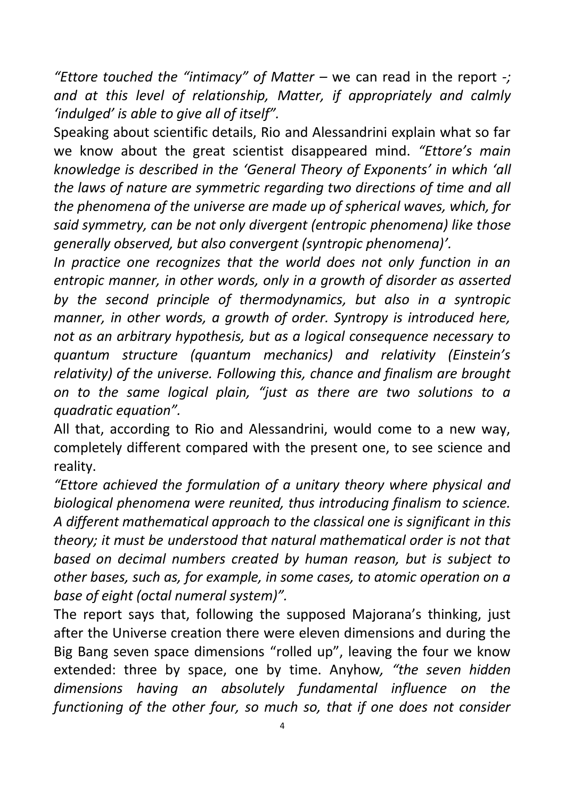*"Ettore touched the "intimacy" of Matter –* we can read in the report *-; and at this level of relationship, Matter, if appropriately and calmly 'indulged' is able to give all of itself".*

Speaking about scientific details, Rio and Alessandrini explain what so far we know about the great scientist disappeared mind. *"Ettore's main knowledge is described in the 'General Theory of Exponents' in which 'all the laws of nature are symmetric regarding two directions of time and all the phenomena of the universe are made up of spherical waves, which, for said symmetry, can be not only divergent (entropic phenomena) like those generally observed, but also convergent (syntropic phenomena)'.* 

In practice one recognizes that the world does not only function in an *entropic manner, in other words, only in a growth of disorder as asserted by the second principle of thermodynamics, but also in a syntropic manner, in other words, a growth of order. Syntropy is introduced here, not as an arbitrary hypothesis, but as a logical consequence necessary to quantum structure (quantum mechanics) and relativity (Einstein's relativity) of the universe. Following this, chance and finalism are brought on to the same logical plain, "just as there are two solutions to a quadratic equation".*

All that, according to Rio and Alessandrini, would come to a new way, completely different compared with the present one, to see science and reality.

*"Ettore achieved the formulation of a unitary theory where physical and biological phenomena were reunited, thus introducing finalism to science. A different mathematical approach to the classical one is significant in this theory; it must be understood that natural mathematical order is not that based on decimal numbers created by human reason, but is subject to other bases, such as, for example, in some cases, to atomic operation on a base of eight (octal numeral system)".*

The report says that, following the supposed Majorana's thinking, just after the Universe creation there were eleven dimensions and during the Big Bang seven space dimensions "rolled up", leaving the four we know extended: three by space, one by time. Anyhow*, "the seven hidden dimensions having an absolutely fundamental influence on the functioning of the other four, so much so, that if one does not consider*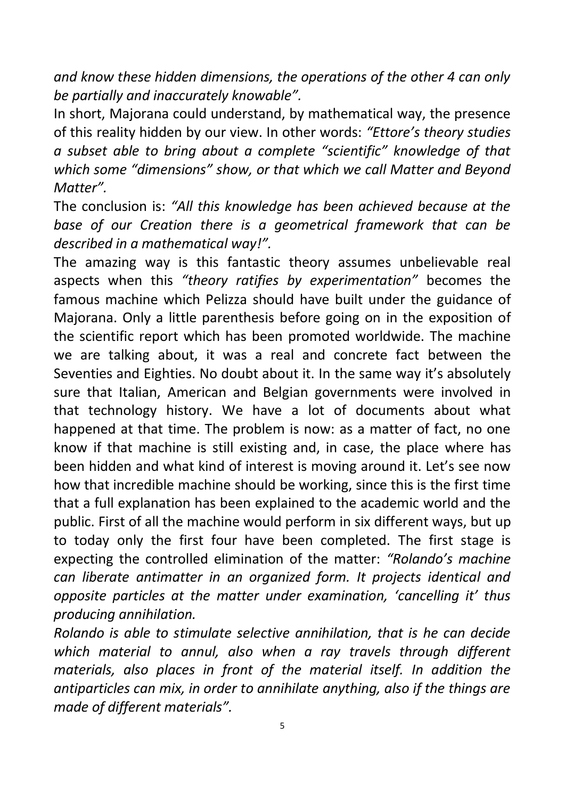*and know these hidden dimensions, the operations of the other 4 can only be partially and inaccurately knowable".*

In short, Majorana could understand, by mathematical way, the presence of this reality hidden by our view. In other words: *"Ettore's theory studies a subset able to bring about a complete "scientific" knowledge of that which some "dimensions" show, or that which we call Matter and Beyond Matter".*

The conclusion is: *"All this knowledge has been achieved because at the base of our Creation there is a geometrical framework that can be described in a mathematical way!".*

The amazing way is this fantastic theory assumes unbelievable real aspects when this *"theory ratifies by experimentation"* becomes the famous machine which Pelizza should have built under the guidance of Majorana. Only a little parenthesis before going on in the exposition of the scientific report which has been promoted worldwide. The machine we are talking about, it was a real and concrete fact between the Seventies and Eighties. No doubt about it. In the same way it's absolutely sure that Italian, American and Belgian governments were involved in that technology history. We have a lot of documents about what happened at that time. The problem is now: as a matter of fact, no one know if that machine is still existing and, in case, the place where has been hidden and what kind of interest is moving around it. Let's see now how that incredible machine should be working, since this is the first time that a full explanation has been explained to the academic world and the public. First of all the machine would perform in six different ways, but up to today only the first four have been completed. The first stage is expecting the controlled elimination of the matter: *"Rolando's machine can liberate antimatter in an organized form. It projects identical and opposite particles at the matter under examination, 'cancelling it' thus producing annihilation.* 

*Rolando is able to stimulate selective annihilation, that is he can decide*  which material to annul, also when a ray travels through different *materials, also places in front of the material itself. In addition the antiparticles can mix, in order to annihilate anything, also if the things are made of different materials".*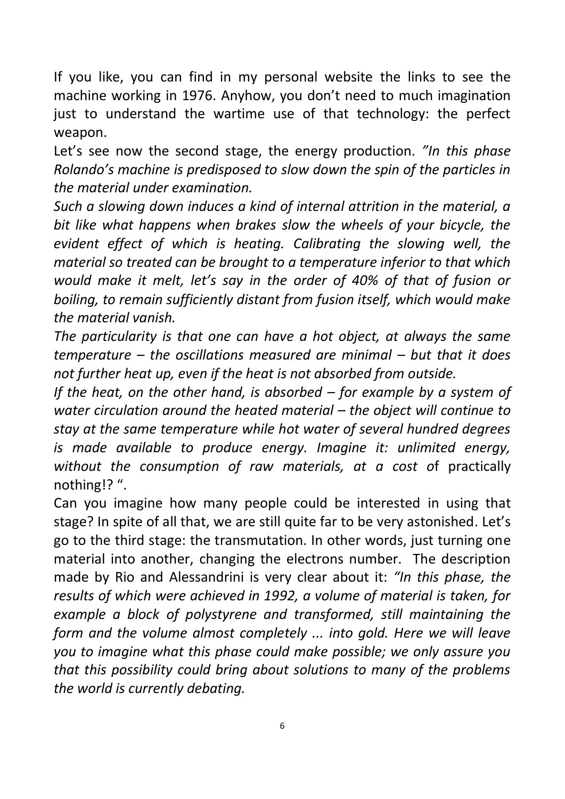If you like, you can find in my personal website the links to see the machine working in 1976. Anyhow, you don't need to much imagination just to understand the wartime use of that technology: the perfect weapon.

Let's see now the second stage, the energy production. *"In this phase Rolando's machine is predisposed to slow down the spin of the particles in the material under examination.* 

*Such a slowing down induces a kind of internal attrition in the material, a bit like what happens when brakes slow the wheels of your bicycle, the evident effect of which is heating. Calibrating the slowing well, the material so treated can be brought to a temperature inferior to that which would make it melt, let's say in the order of 40% of that of fusion or boiling, to remain sufficiently distant from fusion itself, which would make the material vanish.* 

*The particularity is that one can have a hot object, at always the same temperature – the oscillations measured are minimal – but that it does not further heat up, even if the heat is not absorbed from outside.* 

*If the heat, on the other hand, is absorbed – for example by a system of water circulation around the heated material – the object will continue to stay at the same temperature while hot water of several hundred degrees is made available to produce energy. Imagine it: unlimited energy, without the consumption of raw materials, at a cost o*f practically nothing!? ".

Can you imagine how many people could be interested in using that stage? In spite of all that, we are still quite far to be very astonished. Let's go to the third stage: the transmutation. In other words, just turning one material into another, changing the electrons number. The description made by Rio and Alessandrini is very clear about it: *"In this phase, the results of which were achieved in 1992, a volume of material is taken, for example a block of polystyrene and transformed, still maintaining the form and the volume almost completely ... into gold. Here we will leave you to imagine what this phase could make possible; we only assure you that this possibility could bring about solutions to many of the problems the world is currently debating.*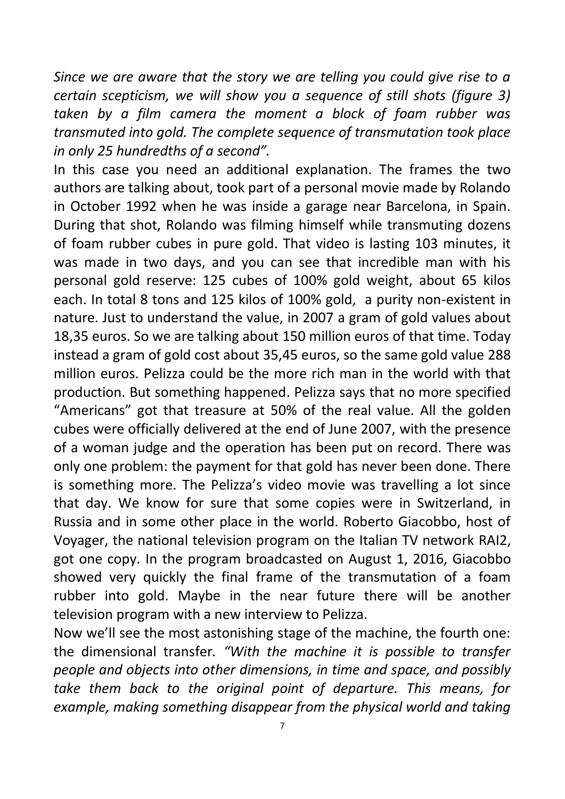*Since we are aware that the story we are telling you could give rise to a certain scepticism, we will show you a sequence of still shots (figure 3) taken by a film camera the moment a block of foam rubber was transmuted into gold. The complete sequence of transmutation took place in only 25 hundredths of a second".*

In this case you need an additional explanation. The frames the two authors are talking about, took part of a personal movie made by Rolando in October 1992 when he was inside a garage near Barcelona, in Spain. During that shot, Rolando was filming himself while transmuting dozens of foam rubber cubes in pure gold. That video is lasting 103 minutes, it was made in two days, and you can see that incredible man with his personal gold reserve: 125 cubes of 100% gold weight, about 65 kilos each. In total 8 tons and 125 kilos of 100% gold, a purity non-existent in nature. Just to understand the value, in 2007 a gram of gold values about 18,35 euros. So we are talking about 150 million euros of that time. Today instead a gram of gold cost about 35,45 euros, so the same gold value 288 million euros. Pelizza could be the more rich man in the world with that production. But something happened. Pelizza says that no more specified "Americans" got that treasure at 50% of the real value. All the golden cubes were officially delivered at the end of June 2007, with the presence of a woman judge and the operation has been put on record. There was only one problem: the payment for that gold has never been done. There is something more. The Pelizza's video movie was travelling a lot since that day. We know for sure that some copies were in Switzerland, in Russia and in some other place in the world. Roberto Giacobbo, host of Voyager, the national television program on the Italian TV network RAI2, got one copy. In the program broadcasted on August 1, 2016, Giacobbo showed very quickly the final frame of the transmutation of a foam rubber into gold. Maybe in the near future there will be another television program with a new interview to Pelizza.

Now we'll see the most astonishing stage of the machine, the fourth one: the dimensional transfer*. "With the machine it is possible to transfer people and objects into other dimensions, in time and space, and possibly take them back to the original point of departure. This means, for example, making something disappear from the physical world and taking*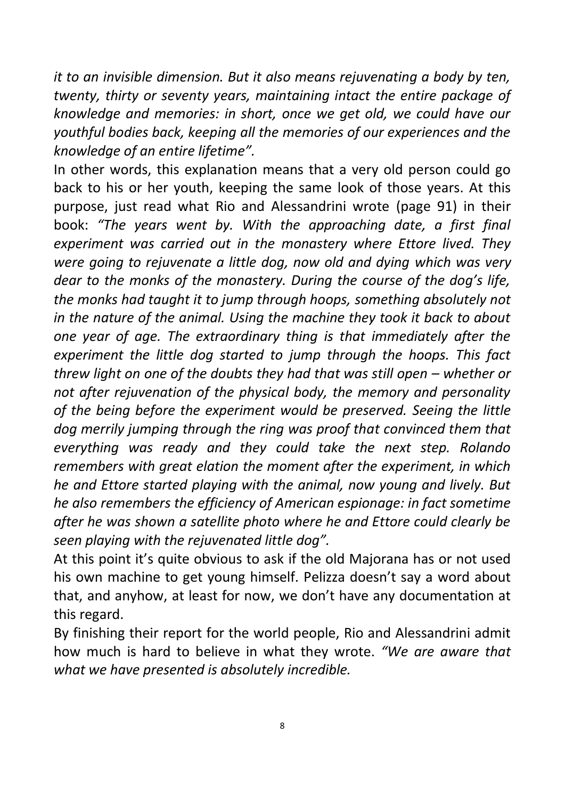*it to an invisible dimension. But it also means rejuvenating a body by ten, twenty, thirty or seventy years, maintaining intact the entire package of knowledge and memories: in short, once we get old, we could have our youthful bodies back, keeping all the memories of our experiences and the knowledge of an entire lifetime".*

In other words, this explanation means that a very old person could go back to his or her youth, keeping the same look of those years. At this purpose, just read what Rio and Alessandrini wrote (page 91) in their book: *"The years went by. With the approaching date, a first final experiment was carried out in the monastery where Ettore lived. They were going to rejuvenate a little dog, now old and dying which was very dear to the monks of the monastery. During the course of the dog's life, the monks had taught it to jump through hoops, something absolutely not in the nature of the animal. Using the machine they took it back to about one year of age. The extraordinary thing is that immediately after the experiment the little dog started to jump through the hoops. This fact threw light on one of the doubts they had that was still open – whether or not after rejuvenation of the physical body, the memory and personality of the being before the experiment would be preserved. Seeing the little dog merrily jumping through the ring was proof that convinced them that everything was ready and they could take the next step. Rolando remembers with great elation the moment after the experiment, in which he and Ettore started playing with the animal, now young and lively. But he also remembers the efficiency of American espionage: in fact sometime after he was shown a satellite photo where he and Ettore could clearly be seen playing with the rejuvenated little dog".*

At this point it's quite obvious to ask if the old Majorana has or not used his own machine to get young himself. Pelizza doesn't say a word about that, and anyhow, at least for now, we don't have any documentation at this regard.

By finishing their report for the world people, Rio and Alessandrini admit how much is hard to believe in what they wrote. *"We are aware that what we have presented is absolutely incredible.*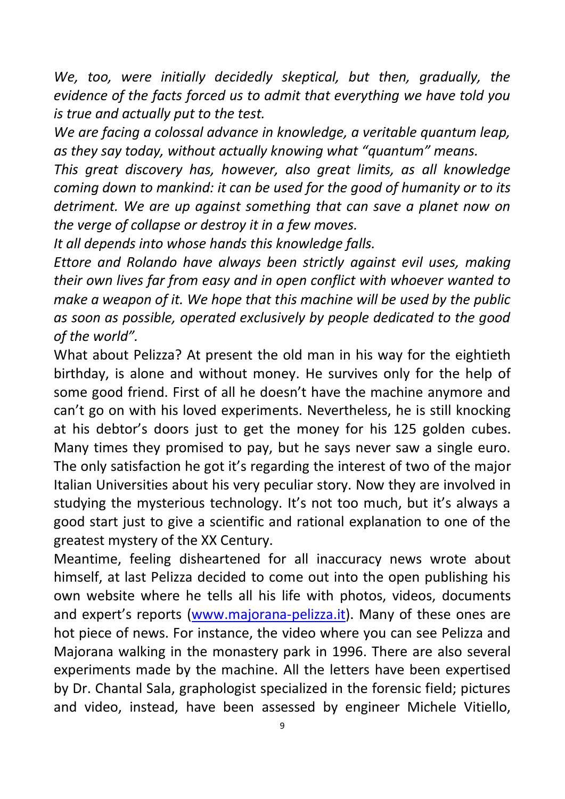*We, too, were initially decidedly skeptical, but then, gradually, the evidence of the facts forced us to admit that everything we have told you is true and actually put to the test.* 

*We are facing a colossal advance in knowledge, a veritable quantum leap, as they say today, without actually knowing what "quantum" means.* 

*This great discovery has, however, also great limits, as all knowledge coming down to mankind: it can be used for the good of humanity or to its detriment. We are up against something that can save a planet now on the verge of collapse or destroy it in a few moves.* 

*It all depends into whose hands this knowledge falls.* 

*Ettore and Rolando have always been strictly against evil uses, making their own lives far from easy and in open conflict with whoever wanted to make a weapon of it. We hope that this machine will be used by the public as soon as possible, operated exclusively by people dedicated to the good of the world".*

What about Pelizza? At present the old man in his way for the eightieth birthday, is alone and without money. He survives only for the help of some good friend. First of all he doesn't have the machine anymore and can't go on with his loved experiments. Nevertheless, he is still knocking at his debtor's doors just to get the money for his 125 golden cubes. Many times they promised to pay, but he says never saw a single euro. The only satisfaction he got it's regarding the interest of two of the major Italian Universities about his very peculiar story. Now they are involved in studying the mysterious technology. It's not too much, but it's always a good start just to give a scientific and rational explanation to one of the greatest mystery of the XX Century.

Meantime, feeling disheartened for all inaccuracy news wrote about himself, at last Pelizza decided to come out into the open publishing his own website where he tells all his life with photos, videos, documents and expert's reports [\(www.majorana-pelizza.it\)](http://www.majorana-pelizza.it/). Many of these ones are hot piece of news. For instance, the video where you can see Pelizza and Majorana walking in the monastery park in 1996. There are also several experiments made by the machine. All the letters have been expertised by Dr. Chantal Sala, graphologist specialized in the forensic field; pictures and video, instead, have been assessed by engineer Michele Vitiello,